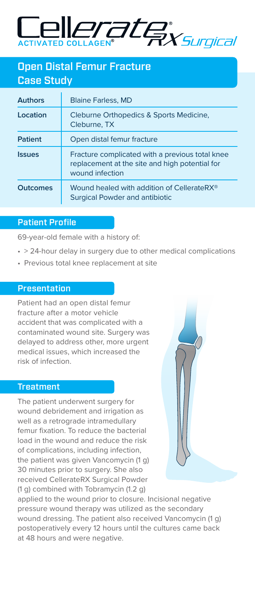

# Open Distal Femur Fracture Case Study

| <b>Authors</b>  | <b>Blaine Farless, MD</b>                                                                                            |
|-----------------|----------------------------------------------------------------------------------------------------------------------|
| Location        | Cleburne Orthopedics & Sports Medicine,<br>Cleburne, TX                                                              |
| Patient         | Open distal femur fracture                                                                                           |
| <b>Issues</b>   | Fracture complicated with a previous total knee<br>replacement at the site and high potential for<br>wound infection |
| <b>Outcomes</b> | Wound healed with addition of CellerateRX <sup>®</sup><br><b>Surgical Powder and antibiotic</b>                      |

### Patient Profile

69-year-old female with a history of:

- > 24-hour delay in surgery due to other medical complications
- Previous total knee replacement at site

## **Presentation**

Patient had an open distal femur fracture after a motor vehicle accident that was complicated with a contaminated wound site. Surgery was delayed to address other, more urgent medical issues, which increased the risk of infection.

### **Treatment**

The patient underwent surgery for wound debridement and irrigation as well as a retrograde intramedullary femur fixation. To reduce the bacterial load in the wound and reduce the risk of complications, including infection, the patient was given Vancomycin (1 g) 30 minutes prior to surgery. She also received CellerateRX Surgical Powder (1 g) combined with Tobramycin (1.2 g)



applied to the wound prior to closure. Incisional negative pressure wound therapy was utilized as the secondary wound dressing. The patient also received Vancomycin (1 g) postoperatively every 12 hours until the cultures came back at 48 hours and were negative.